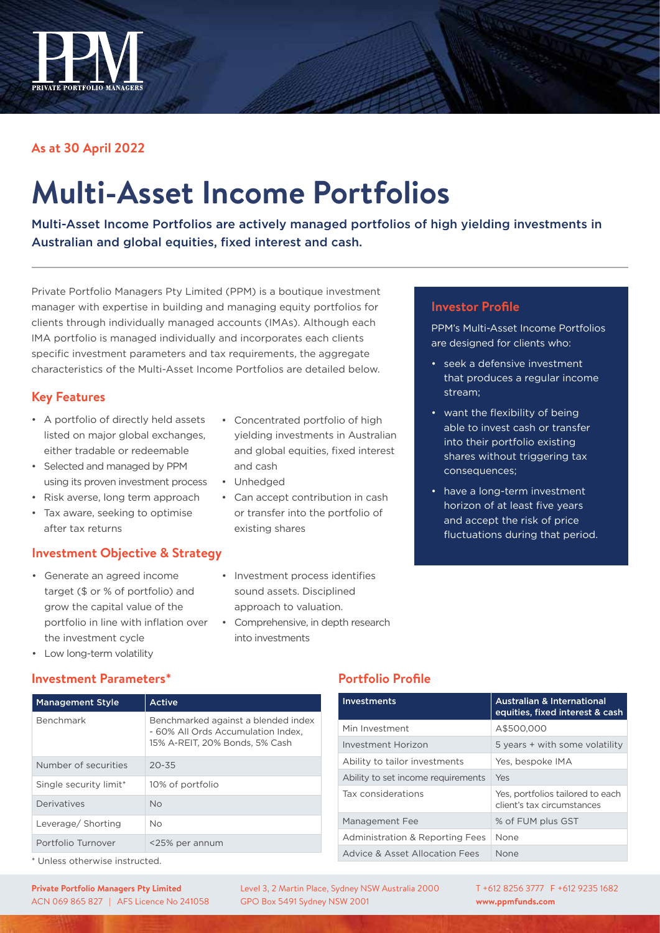

# **As at 30 April 2022**

# **Multi-Asset Income Portfolios**

Multi-Asset Income Portfolios are actively managed portfolios of high yielding investments in Australian and global equities, fixed interest and cash.

Private Portfolio Managers Pty Limited (PPM) is a boutique investment manager with expertise in building and managing equity portfolios for clients through individually managed accounts (IMAs). Although each IMA portfolio is managed individually and incorporates each clients specific investment parameters and tax requirements, the aggregate characteristics of the Multi-Asset Income Portfolios are detailed below.

## **Key Features**

- A portfolio of directly held assets listed on major global exchanges, either tradable or redeemable
- Selected and managed by PPM using its proven investment process
- Risk averse, long term approach
- Tax aware, seeking to optimise after tax returns

## **Investment Objective & Strategy**

- Generate an agreed income target (\$ or % of portfolio) and grow the capital value of the portfolio in line with inflation over the investment cycle
- Concentrated portfolio of high yielding investments in Australian and global equities, fixed interest and cash
- Unhedged
- Can accept contribution in cash or transfer into the portfolio of existing shares
- Investment process identifies sound assets. Disciplined approach to valuation.
- Comprehensive, in depth research into investments

# **Investor Profile**

PPM's Multi-Asset Income Portfolios are designed for clients who:

- seek a defensive investment that produces a regular income stream;
- want the flexibility of being able to invest cash or transfer into their portfolio existing shares without triggering tax consequences;
- have a long-term investment horizon of at least five years and accept the risk of price fluctuations during that period.

• Low long-term volatility

#### **Investment Parameters\***

| <b>Management Style</b> | Active                                                                                                      |
|-------------------------|-------------------------------------------------------------------------------------------------------------|
| Benchmark               | Benchmarked against a blended index<br>- 60% All Ords Accumulation Index.<br>15% A-REIT, 20% Bonds, 5% Cash |
| Number of securities    | $20 - 35$                                                                                                   |
| Single security limit*  | 10% of portfolio                                                                                            |
| Derivatives             | <b>No</b>                                                                                                   |
| Leverage/ Shorting      | <b>No</b>                                                                                                   |
| Portfolio Turnover      | <25% per annum                                                                                              |

## **Portfolio Profile**

| <b>Investments</b>                         | <b>Australian &amp; International</b><br>equities, fixed interest & cash |  |
|--------------------------------------------|--------------------------------------------------------------------------|--|
| Min Investment                             | A\$500,000                                                               |  |
| Investment Horizon                         | 5 years + with some volatility                                           |  |
| Ability to tailor investments              | Yes, bespoke IMA                                                         |  |
| Ability to set income requirements         | Yes                                                                      |  |
| Tax considerations                         | Yes, portfolios tailored to each<br>client's tax circumstances           |  |
| Management Fee                             | % of FUM plus GST                                                        |  |
| <b>Administration &amp; Reporting Fees</b> | None                                                                     |  |
| Advice & Asset Allocation Fees             | None                                                                     |  |

\* Unless otherwise instructed.

Level 3, 2 Martin Place, Sydney NSW Australia 2000 GPO Box 5491 Sydney NSW 2001

T +612 8256 3777 F +612 9235 1682 **www.ppmfunds.com**